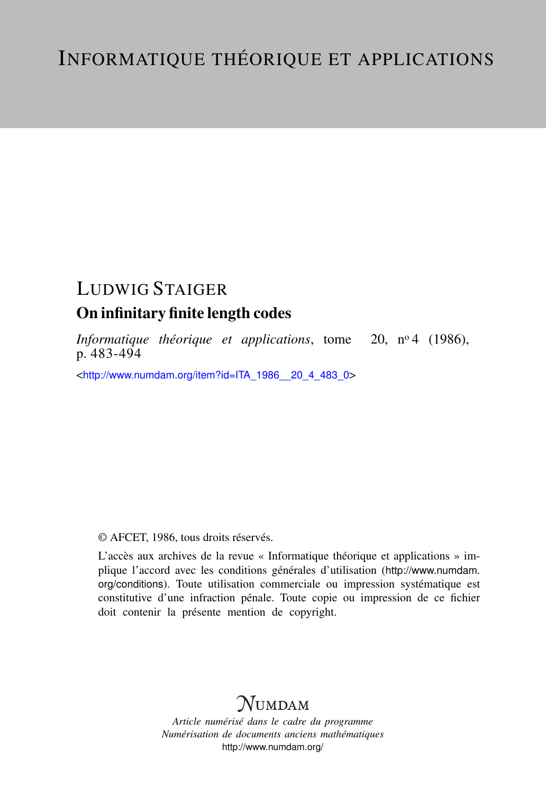# LUDWIG STAIGER

# On infinitary finite length codes

*Informatique théorique et applications*, tome 20, nº4 (1986), p. 483-494

<[http://www.numdam.org/item?id=ITA\\_1986\\_\\_20\\_4\\_483\\_0](http://www.numdam.org/item?id=ITA_1986__20_4_483_0)>

# © AFCET, 1986, tous droits réservés.

L'accès aux archives de la revue « Informatique théorique et applications » implique l'accord avec les conditions générales d'utilisation ([http://www.numdam.](http://www.numdam.org/conditions) [org/conditions](http://www.numdam.org/conditions)). Toute utilisation commerciale ou impression systématique est constitutive d'une infraction pénale. Toute copie ou impression de ce fichier doit contenir la présente mention de copyright.

# **NUMDAM**

*Article numérisé dans le cadre du programme Numérisation de documents anciens mathématiques* <http://www.numdam.org/>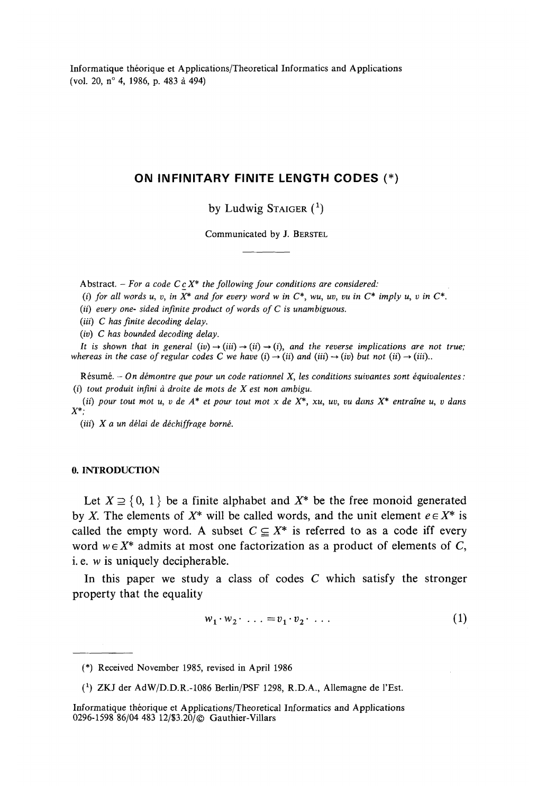Informatique théorique et Applications/Theoretical Informaties and Applications (vol. 20, n° 4, 1986, p. 483 à 494)

## **ON INFINITARY FINITE LENGTH CODES (•)**

by Ludwig Staiger  $(1)$ 

Communicated by J. BERSTEL

Abstract. - *For a code CcX\* the following four conditions are considered:*

(*i)* for all words u, v, in  $\overline{X}^*$  and for every word w in  $C^*$ , wu, uv, vu in  $C^*$  imply u, v in  $C^*$ .

*(ii) every one- sided infinité product of words of C is unambiguous.*

(iii) C has finite decoding delay.

*(iv) C has bounded decoding delay.*

*lt is shown that in general (iv)*  $\rightarrow$  *(iii)*  $\rightarrow$  *(ii)*  $\rightarrow$  *(i), and the reverse implications are not true; whereas in the case of regular codes C we have (i)*  $\rightarrow$  *(ii)* and *(iii)*  $\rightarrow$  *(iv)* but not *(ii)*  $\rightarrow$  *(iii)...* 

Résumé. *- On démontre que pour un code rationnel X, les conditions suivantes sont équivalentes: (i) tout produit infini à droite de mots de X est non ambigu.*

*(ii) pour tout mot u, v de A\* et pour tout mot x de X\*, xu, uv, vu dans X\* entraîne u, v dans X\*;*

*(iii) X a un délai de déchiffrage borné.*

## **0. INTRODUCTION**

Let  $X \supseteq \{0, 1\}$  be a finite alphabet and  $X^*$  be the free monoid generated by X. The elements of  $X^*$  will be called words, and the unit element  $e \in X^*$  is called the empty word. A subset  $C \subseteq X^*$  is referred to as a code iff every word  $w \in X^*$  admits at most one factorization as a product of elements of C, 1. e. *w* is uniquely decipherable.

In this paper we study a class of codes *C* which satisfy the stronger property that the equality

$$
w_1 \cdot w_2 \cdot \ldots = v_1 \cdot v_2 \cdot \ldots \tag{1}
$$

<sup>(\*)</sup> Received November 1985, revised in April 1986

*<sup>(</sup> x )* ZKJ der AdW/D.D.R.-1086 Berlin/PSF 1298, R.D.A., Allemagne de l'Est.

Informatique théorique et Applications/Theoretical Informaties and Applications 0296-1598 86/04 483 12/\$3.20/© Gauthier-Villars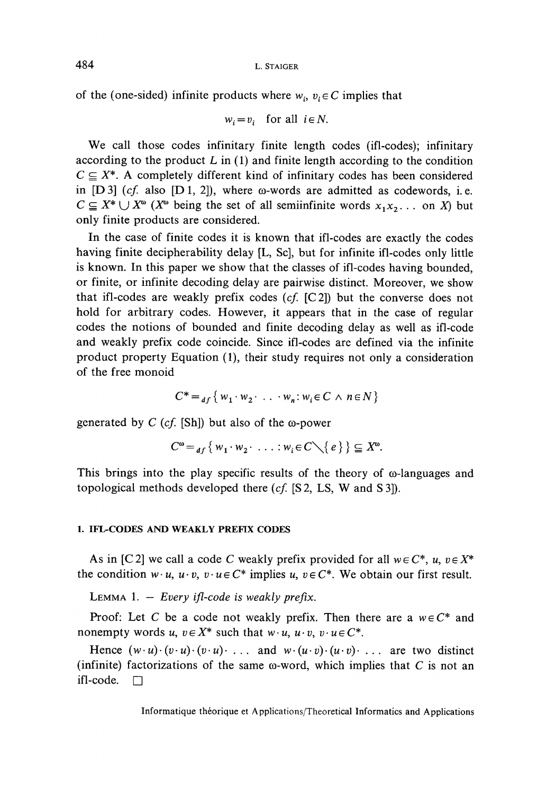of the (one-sided) infinite products where  $w_i$ ,  $v_i \in C$  implies that

$$
w_i = v_i \quad \text{for all } i \in N.
$$

We call those codes infinitary finite length codes (ifl-codes); infinitary according to the product  $L$  in (1) and finite length according to the condition  $C \subseteq X^*$ . A completely different kind of infinitary codes has been considered in  $[D3]$  (*cf.* also  $[D1, 2]$ ), where  $\omega$ -words are admitted as codewords, i.e.  $C \subseteq X^* \cup X^{\omega}$  ( $X^{\omega}$  being the set of all semiinfinite words  $x_1x_2...$  on X) but only finite products are considered.

In the case of finite codes it is known that ifl-codes are exactly the codes having finite decipherability delay [L, Se], but for infinité ifl-codes only little is known. In this paper we show that the classes of ifl-codes having bounded, or finite, or infinité decoding delay are pairwise distinct. Moreover, we show that ifl-codes are weakly prefix codes *(cf.* [C2]) but the converse does not hold for arbitrary codes. However, it appears that in the case of regular codes the notions of bounded and finite decoding delay as well as ifl-code and weakly prefix code coincide. Since ifl-codes are defined via the infinité product property Equation (1), their study requires not only a considération of the free monoid

$$
C^* =_{df} \{ w_1 \cdot w_2 \cdot \ldots \cdot w_n : w_i \in C \land n \in N \}
$$

generated by  $C$  (cf. [Sh]) but also of the  $\omega$ -power

$$
C^{\omega} =_{df} \{ w_1 \cdot w_2 \cdot \ldots \cdot w_i \in C \setminus \{ e \} \} \subseteq X^{\omega}.
$$

This brings into the play specific results of the theory of  $\omega$ -languages and topological methods developed there *(cf.* [S 2, LS, W and S 3]).

#### **1. IFL-CODES AND WEAKLY PREFIX CODES**

As in [C2] we call a code C weakly prefix provided for all  $w \in C^*$ ,  $u, v \in X^*$ the condition  $w \cdot u$ ,  $u \cdot v$ ,  $v \cdot u \in C^*$  implies  $u, v \in C^*$ . We obtain our first result.

LEMMA 1. — *Every ifl-code is weakly prefix.*

Proof: Let C be a code not weakly prefix. Then there are a  $w \in C^*$  and nonempty words  $u, v \in X^*$  such that  $w \cdot u, u \cdot v, v \cdot u \in C^*$ .

Hence  $(w \cdot u) \cdot (v \cdot u) \cdot (v \cdot u) \cdot ...$  and  $w \cdot (u \cdot v) \cdot (u \cdot v) \cdot ...$  are two distinct (infinite) factorizations of the same  $\omega$ -word, which implies that C is not an ifl-code.  $\Box$ 

Informatique théorique et Applications/Theoretical Informaties and Applications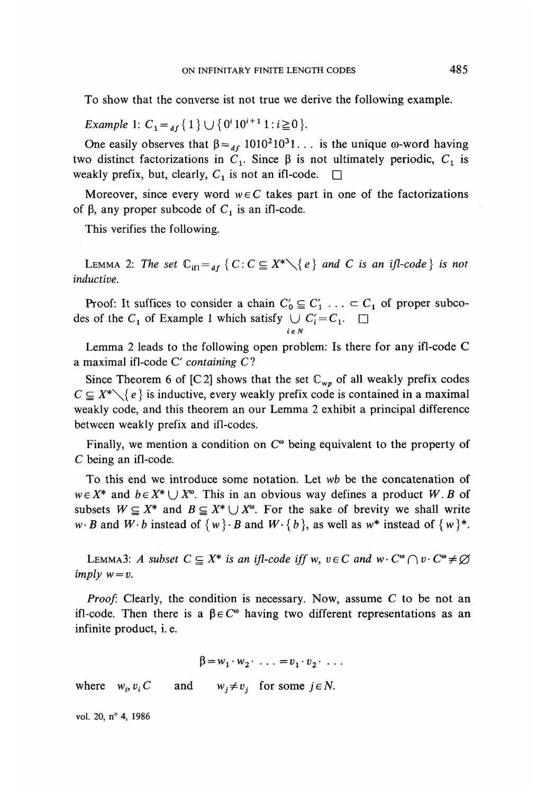To show that the converse ist not true we dérive the following example.

*Example* 1:  $C_1 =_{df} \{ 1 \} \cup \{ 0^i 10^{i+1} 1 : i \geq 1 \}$ 

One easily observes that  $\beta =_{df} 1010^2 10^3 1$ ... is the unique  $\omega$ -word having two distinct factorizations in  $C_1$ . Since  $\beta$  is not ultimately periodic,  $C_1$  is weakly prefix, but, clearly,  $C_1$  is not an ifl-code.  $\square$ 

Moreover, since every word  $w \in C$  takes part in one of the factorizations of  $\beta$ , any proper subcode of  $C_1$  is an ifl-code.

This verifies the following.

LEMMA 2: The set  $\mathbb{C}_{\text{if}} =_{df} \{C : C \subseteq X^* \setminus \{e\} \text{ and } C \text{ is an if } l\text{-code } \}$  is not *inductive.*

Proof: It suffices to consider a chain  $C'_0 \subseteq C'_1$ ...  $\subset C_1$  of proper subcodes of the  $C_1$  of Example 1 which satisfy  $\bigcup C_i = C_1$ .

Lemma 2 leads to the following open problem: Is there for any ifl-code C a maximal ifl-code C' *containing C* ?

**ie N**

Since Theorem 6 of [C2] shows that the set  $\mathbb{C}_{wp}$  of all weakly prefix codes  $C \subseteq X^* \setminus \{e\}$  is inductive, every weakly prefix code is contained in a maximal weakly code, and this theorem an our Lemma 2 exhibit a principal différence between weakly prefix and ifl-codes.

Finally, we mention a condition on  $C^{\omega}$  being equivalent to the property of C being an ifl-code.

To this end we introducé some notation. Let *wb* be the concaténation of  $w \in X^*$  and  $b \in X^* \cup X^{\omega}$ . This in an obvious way defines a product W.B of subsets  $W \subseteq X^*$  and  $B \subseteq X^* \cup X^*$ . For the sake of brevity we shall write *w*  $\cdot$  *B* and *W*  $\cdot$  *b* instead of  $\{w\}$   $\cdot$  *B* and *W*  $\cdot$   $\{b\}$ , as well as  $w^*$  instead of  $\{w\}^*$ .

LEMMA3: *A* subset  $C \subseteq X^*$  is an ifl-code iff w,  $v \in C$  and  $w \cdot C^{\omega} \cap v \cdot C^{\omega} \neq \emptyset$ *imply*  $w = v$ .

*Proof.* Clearly, the condition is necessary. Now, assume *C* to be not an ifl-code. Then there is a  $\beta \in C^{\infty}$  having two different representations as an infinité product, i. e.

$$
\beta = w_1 \cdot w_2 \cdot \ldots = v_1 \cdot v_2 \cdot \ldots
$$

where  $w_i, v_i$ and  $w_j \neq v_j$  for some  $j \in N$ .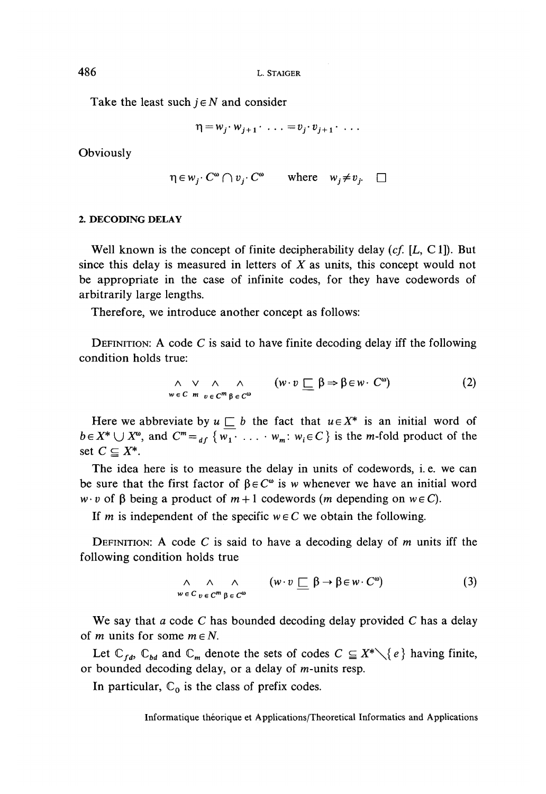Take the least such  $j \in N$  and consider

$$
\eta = w_j \cdot w_{j+1} \cdot \ldots = v_j \cdot v_{j+1} \cdot \ldots
$$

Obviously

$$
\eta \in w_j \colon C^{\omega} \cap v_j \colon C^{\omega} \qquad \text{where} \quad w_j \neq v_j. \quad \Box
$$

#### 2. DECODING DELAY

Well known is the concept of finite decipherability delay *(cf. [L,* Cl]). But since this delay is measured in letters of *X* as units, this concept would not be appropriate in the case of infinité codes, for they have codewords of arbitrarily large lengths.

Therefore, we introducé another concept as follows:

DÉFINITION: A code *C* is said to have finite decoding delay iff the following condition holds true:

$$
\wedge \vee \wedge \wedge \wedge \qquad (\mathbf{w} \cdot \mathbf{v} \sqsubseteq \beta \Rightarrow \beta \in \mathbf{w} \cdot \mathbf{C}^{\omega}) \tag{2}
$$

Here we abbreviate by  $u \sqsubset b$  the fact that  $u \in X^*$  is an initial word of  $b \in X^* \cup X^{\omega}$ , and  $C^m =_{df} \{ w_1 \cdot \ldots \cdot w_m : w_i \in C \}$  is the *m*-fold product of the set  $C \subseteq X^*$ .

The idea here is to measure the delay in units of codewords, i. e. we can be sure that the first factor of  $\beta \in C^{\omega}$  is w whenever we have an initial word  $w \cdot v$  of  $\beta$  being a product of  $m+1$  codewords (m depending on  $w \in C$ ).

If m is independent of the specific  $w \in C$  we obtain the following.

DÉFINITION: A code *C* is said to have a decoding delay of *m* units iff the following condition holds true

$$
\wedge \wedge \wedge \wedge \wedge \cdots \wedge \wedge \cdots \wedge \cdots \wedge \cdots \wedge \cdots \wedge \wedge \cdots \wedge \cdots \wedge \cdots \wedge \cdots \wedge \cdots \wedge \cdots \wedge \cdots \wedge \cdots \wedge \cdots \wedge \cdots \wedge \cdots \wedge \cdots \wedge \cdots \wedge \cdots \wedge \cdots \wedge \cdots \wedge \cdots \wedge \cdots \wedge \cdots \wedge \cdots \wedge \cdots \wedge \cdots \wedge \cdots \wedge \cdots \wedge \cdots \wedge \cdots \wedge \cdots \wedge \cdots \wedge \cdots \wedge \cdots \wedge \cdots \wedge \cdots \wedge \cdots \wedge \cdots \wedge \cdots \wedge \cdots \wedge \cdots \wedge \cdots \wedge \cdots \wedge \cdots \wedge \cdots \wedge \cdots \wedge \cdots \wedge \cdots \wedge \cdots \wedge \cdots \wedge \cdots \wedge \cdots \wedge \cdots \wedge \cdots \wedge \cdots \wedge \cdots \wedge \cdots \wedge \cdots \wedge \cdots \wedge \cdots \wedge \cdots \wedge \cdots \wedge \cdots \wedge \cdots \wedge \cdots \wedge \cdots \wedge \cdots \wedge \cdots \wedge \cdots \wedge \cdots \wedge \cdots \wedge \cdots \wedge \cdots \wedge \cdots \wedge \cdots \wedge \cdots \wedge \cdots \wedge \cdots \wedge \cdots \wedge \cdots \wedge \cdots \wedge \cdots \wedge \cdots \wedge \cdots \wedge \cdots \wedge \cdots \wedge \cdots \wedge \cdots \wedge \cdots \wedge \cdots \wedge \cdots \wedge \cdots \wedge \cdots \wedge \cdots \wedge \cdots \wedge \cdots \wedge \cdots \wedge \cdots \wedge \cdots \wedge \cdots \wedge \cdots \wedge \cdots \wedge \cdots \wedge \cdots \wedge \cdots \wedge \cdots \wedge \cdots \wedge \cdots \wedge \cdots \wedge \cdots \wedge \cdots \wedge \cdots \wedge \cdots \wedge \cdots \wedge \cdots \wedge \cdots \wedge \cdots \wedge \cdots \wedge \cdots \wedge \cdots \wedge \cdots \wedge \cdots \wedge \
$$

We say that *a* code C has bounded decoding delay provided *C* has a delay of *m* units for some  $m \in N$ .

Let  $\mathbb{C}_{fd}$ ,  $\mathbb{C}_{bd}$  and  $\mathbb{C}_m$  denote the sets of codes  $C \subseteq X^* \setminus \{e\}$  having finite, or bounded decoding delay, or a delay of m-units resp.

In particular,  $\mathbb{C}_0$  is the class of prefix codes.

Informatique théorique et Applications/Theoretical Informaties and Applications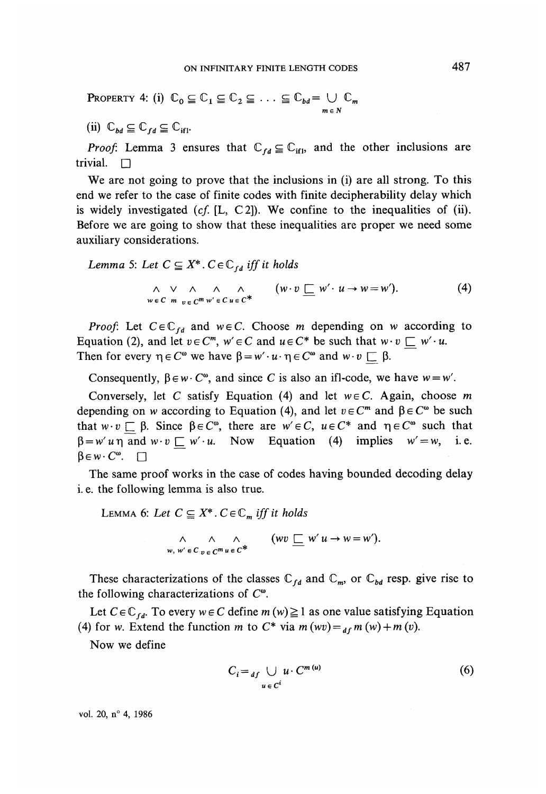**PROPERTIES 4:** (i) 
$$
\mathbb{C}_0 \subseteq \mathbb{C}_1 \subseteq \mathbb{C}_2 \subseteq \ldots \subseteq \mathbb{C}_{bd} = \bigcup_{m \in N} \mathbb{C}_m
$$

(ii)  $\mathbb{C}_{bd} \subseteq \mathbb{C}_{fd} \subseteq \mathbb{C}_{ifl}$ .

*Proof.* Lemma 3 ensures that  $\mathbb{C}_{fd} \subseteq \mathbb{C}_{if}$ , and the other inclusions are trivial.  $\Box$ 

We are not going to prove that the inclusions in (i) are all strong. To this end we refer to the case of finite codes with finite decipherability delay which is widely investigated *(cf.* [L, C2]). We confine to the inequalities of (ii). Before we are going to show that these inequalities are proper we need some auxiliary considérations.

Lemma 5: Let 
$$
C \subseteq X^*
$$
.  $C \in \mathbb{C}_{fd}$  iff it holds  
\n
$$
\wedge \vee \wedge \wedge \wedge \wedge \wedge \cdots \wedge \wedge \wedge \wedge \cdots \wedge \wedge \cdots \wedge \wedge \cdots \wedge \wedge \cdots \wedge \wedge \cdots \wedge \wedge \cdots \wedge \wedge \cdots \wedge \wedge \cdots \wedge \wedge \cdots \wedge \wedge \cdots \wedge \wedge \cdots \wedge \wedge \cdots \wedge \wedge \cdots \wedge \wedge \cdots \wedge \wedge \cdots \wedge \wedge \cdots \wedge \wedge \cdots \wedge \wedge \cdots \wedge \wedge \cdots \wedge \wedge \cdots \wedge \wedge \cdots \wedge \cdots \wedge \cdots \wedge \cdots \wedge \cdots \wedge \cdots \wedge \cdots \wedge \cdots \wedge \cdots \wedge \cdots \wedge \cdots \wedge \cdots \wedge \cdots \wedge \cdots \wedge \cdots \wedge \cdots \wedge \cdots \wedge \cdots \wedge \cdots \wedge \cdots \wedge \cdots \wedge \cdots \wedge \cdots \wedge \cdots \wedge \cdots \wedge \cdots \wedge \cdots \wedge \cdots \wedge \cdots \wedge \cdots \wedge \cdots \wedge \cdots \wedge \cdots \wedge \cdots \wedge \cdots \wedge \cdots \wedge \cdots \wedge \cdots \wedge \cdots \wedge \cdots \wedge \cdots \wedge \cdots \wedge \cdots \wedge \cdots \wedge \cdots \wedge \cdots \wedge \cdots \wedge \cdots \wedge \cdots \wedge \cdots \wedge \cdots \wedge \cdots \wedge \cdots \wedge \cdots \wedge \cdots \wedge \cdots \wedge \cdots \wedge \cdots \wedge \cdots \wedge \cdots \wedge \cdots \wedge \cdots \wedge \cdots \wedge \cdots \wedge \cdots \wedge \cdots \wedge \cdots \wedge \cdots \wedge \cdots \wedge \cdots \wedge \cdots \wedge \cdots \wedge \cdots \wedge \cdots \wedge \cdots \wedge \cdots \wedge \cdots \wedge \cdots \wedge \cdots \wedge \cdots \wedge \cdots \wedge \cdots \wedge \cdots \wedge \cdots \wedge \cdots \
$$

*Proof:* Let  $C \in \mathbb{C}_{fd}$  and  $w \in C$ . Choose *m* depending on *w* according to Equation (2), and let  $v \in C^m$ ,  $w' \in C$  and  $u \in C^*$  be such that  $w \cdot v \subseteq w' \cdot u$ . Then for every  $\eta \in C^{\omega}$  we have  $\beta = w' \cdot u \cdot \eta \in C^{\omega}$  and  $w \cdot v \sqsubseteq \beta$ .

Consequently,  $\beta \in w \cdot C^{\omega}$ , and since *C* is also an ifl-code, we have  $w = w'$ .

Conversely, let *C* satisfy Equation (4) and let *weC.* Again, choose *m* depending on w according to Equation (4), and let  $v \in C^m$  and  $\beta \in C^{\omega}$  be such that  $w \cdot v \subseteq \beta$ . Since  $\beta \in C^{\infty}$ , there are  $w' \in C$ ,  $u \in C^*$  and  $\eta \in C^{\infty}$  such that  $\beta = w' \cdot u$  and  $w \cdot v \square w' \cdot u$ . Now Equation (4) implies  $w' = w$ , i. e.  $\beta \in w \cdot C^{\omega}$ .  $\Box$ 

The same proof works in the case of codes having bounded decoding delay i. e. the following lemma is also true.

LEMMA 6: Let  $C \subseteq X^*$ .  $C \in \mathbb{C}_m$  iff it holds

$$
\wedge \wedge \wedge \wedge \qquad (wv \sqsubseteq w'u \to w = w').
$$
  

$$
w, w' \in C \, v \in C^m u \in C^*
$$

These characterizations of the classes  $\mathbb{C}_{fd}$  and  $\mathbb{C}_m$ , or  $\mathbb{C}_{bd}$  resp. give rise to the following characterizations of  $C^{\omega}$ .

Let  $C \in \mathbb{C}_{fa}$ . To every  $w \in C$  define  $m(w) \ge 1$  as one value satisfying Equation (4) for w. Extend the function *m* to  $C^*$  via  $m (wv) = a_f m (w) + m (v)$ .

Now we define

$$
C_i =_{df} \bigcup_{u \in C^i} u \cdot C^{m(u)} \tag{6}
$$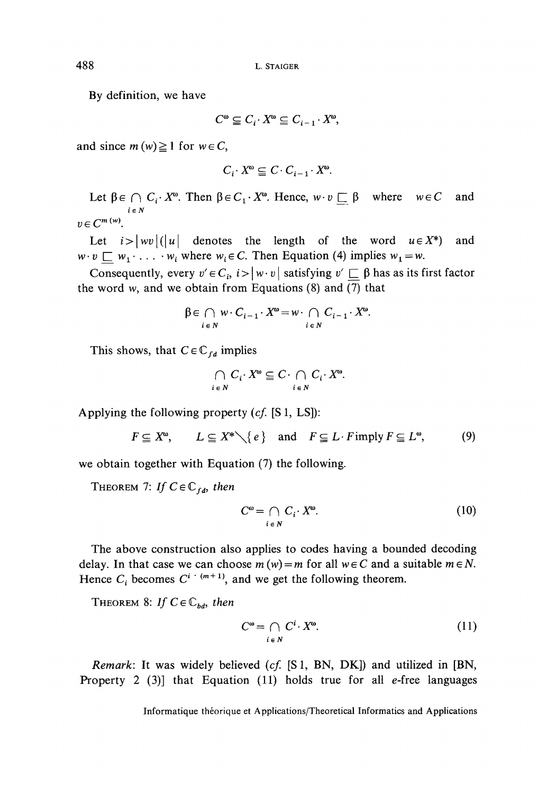By definition, we have

$$
C^{\omega} \subseteqq C_i \cdot X^{\omega} \subseteqq C_{i-1} \cdot X^{\omega},
$$

and since  $m(w) \ge 1$  for  $w \in C$ ,

$$
C_i \cdot X^{\omega} \subseteq C \cdot C_{i-1} \cdot X^{\omega}
$$

Let  $\beta \in \bigcap C_i \cdot X^{\omega}$ . Then  $\beta \in C_1 \cdot X^{\omega}$ . Hence,  $w \cdot v \sqsubset \beta$  where  $w \in C$ and  $i \in N$ 

Let  $i$ and  $w \cdot v \sqsubset w_1 \cdot \ldots \cdot w_i$  where  $w_i \in C$ . Then Equation (4) implies  $w_1 = w$ .

Consequently, every  $v' \in C_i$ ,  $i > |w \cdot v|$  satisfying  $v' \sqsubset \beta$  has as its first factor the word w, and we obtain from Equations (8) and  $\overline{(7)}$  that

$$
\beta \in \bigcap_{i \in N} w \cdot C_{i-1} \cdot X^{\omega} = w \cdot \bigcap_{i \in N} C_{i-1} \cdot X^{\omega}.
$$

This shows, that  $C \in \mathbb{C}_{fd}$  implies

$$
\bigcap_{i \in N} C_i \cdot X^{\omega} \subseteq C \cdot \bigcap_{i \in N} C_i \cdot X^{\omega}.
$$

Applying the following property *(cf.* [S 1, LS]):

$$
F \subseteq X^{\omega}, \qquad L \subseteq X^* \setminus \{e\} \quad \text{and} \quad F \subseteq L \cdot F \text{ imply } F \subseteq L^{\omega}, \tag{9}
$$

we obtain together with Equation (7) the following.

THEOREM 7: If  $C \in \mathbb{C}_{fd}$ *, then* 

$$
C^{\omega} = \bigcap_{i \in N} C_i \cdot X^{\omega}.
$$
 (10)

The above construction also applies to codes having a bounded decoding delay. In that case we can choose  $m(w) = m$  for all  $w \in C$  and a suitable  $m \in N$ . Hence  $C_i$  becomes  $C^{i+(m+1)}$ , and we get the following theorem.

THEOREM 8: If  $C \in \mathbb{C}_{bd}$ *, then* 

$$
C^{\omega} = \bigcap_{i \in N} C^{i} \cdot X^{\omega}.
$$
 (11)

*Remark:* It was widely believed *(cf.* [S 1, BN, DK]) and utilized in [BN, Property 2 (3)] that Equation (11) holds true for all  $e$ -free languages

Informatique théorique et Applications/Theoretical Informatics and Applications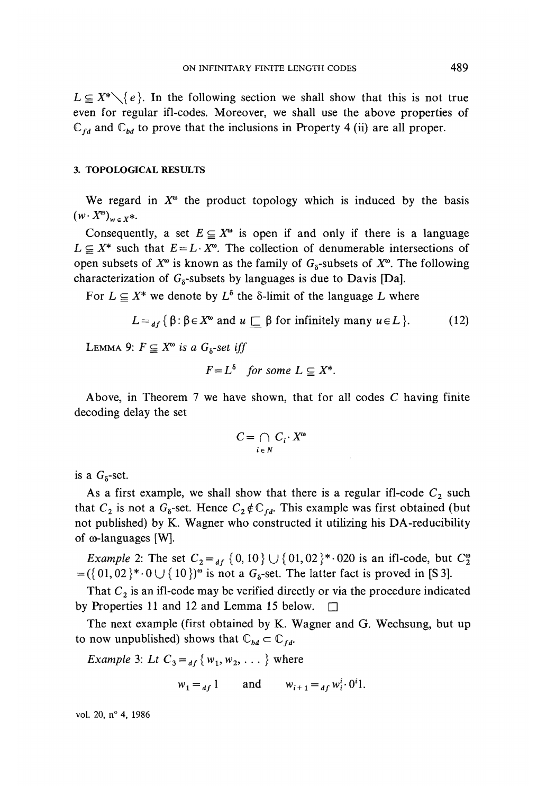$L \subseteq X^* \setminus \{e\}$ . In the following section we shall show that this is not true even for regular ifl-codes. Moreover, we shall use the above properties of  $\mathbb{C}_{fd}$  and  $\mathbb{C}_{bd}$  to prove that the inclusions in Property 4 (ii) are all proper.

#### **3. TOPOLOGICAL RESULTS**

We regard in  $X^{\omega}$  the product topology which is induced by the basis  $(w \cdot X^{\omega})_{w \in X^*}.$ 

Consequently, a set  $E \subseteq X^{\omega}$  is open if and only if there is a language  $L \subseteq X^*$  such that  $E = L \cdot X^*$ . The collection of denumerable intersections of open subsets of  $X^{\omega}$  is known as the family of  $G_{\delta}$ -subsets of  $X^{\omega}$ . The following characterization of  $G_8$ -subsets by languages is due to Davis [Da].

For  $L \subseteq X^*$  we denote by  $L^{\delta}$  the  $\delta$ -limit of the language L where

$$
L =_{df} \{ \beta : \beta \in X^{\omega} \text{ and } u \sqsubseteq \beta \text{ for infinitely many } u \in L \}. \tag{12}
$$

LEMMA 9:  $F \subseteq X^{\omega}$  is a  $G_{\alpha}$ -set iff

$$
F = L^{\delta} \quad \text{for some } L \subseteq X^*.
$$

Above, in Theorem 7 we have shown, that for ail codes *C* having finite decoding delay the set

$$
C = \bigcap_{i \in N} C_i \cdot X^{\omega}
$$

is a  $G<sub>5</sub>$ -set.

As a first example, we shall show that there is a regular ifl-code  $C_2$  such that  $C_2$  is not a  $G_8$ -set. Hence  $C_2 \notin C_{fd}$ . This example was first obtained (but not published) by K. Wagner who constructed it utilizing his DA-reducibility of  $\omega$ -languages [W].

*Example 2:* The set  $C_2 =$   $_{df}$  {0,10}  $\cup$  {01,02}<sup>\*</sup> · 020 is an ifl-code, but  $C_2^{\omega}$  $=(\{01,02\}^*\cdot 0\cup \{10\})^{\omega}$  is not a  $G_{\delta}$ -set. The latter fact is proved in [S 3].

That  $C_2$  is an ifl-code may be verified directly or via the procedure indicated by Properties 11 and 12 and Lemma 15 below.  $\square$ 

The next example (first obtained by K. Wagner and G. Wechsung, but up to now unpublished) shows that  $\mathbb{C}_{bd} \subset \mathbb{C}_{fd}$ .

*Example* 3: *Lt*  $C_3 =$  *d*<sub>*f*</sub> {  $w_1, w_2, ...$  } where

$$
w_1 =_{df} 1
$$
 and  $w_{i+1} =_{df} w_i^i \cdot 0^i 1$ .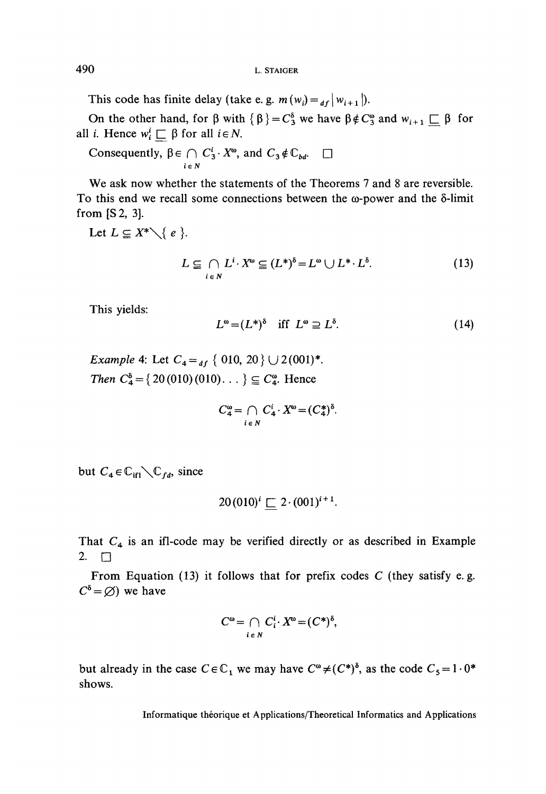This code has finite delay (take e. g.  $m(w_i) = \frac{d}{dx} |w_{i+1}|$ ).

On the other hand, for  $\beta$  with  $\{\beta\} = C_3^{\delta}$  we have  $\beta \notin C_3^{\circ}$  and  $w_{i+1} \square \beta$  for all *i*. Hence  $w_i^i \sqsubset \beta$  for all  $i \in N$ .

Consequently,  $\beta \in \bigcap C_3^i \cdot X^{\omega}$ , and  $C_3 \notin \mathbb{C}_{bd}$ .  $\square$ 

We ask now whether the statements of the Theorems 7 and 8 are reversible. To this end we recall some connections between the  $\omega$ -power and the  $\delta$ -limit from[S2, 3].

Let  $L \subseteq X^* \setminus \{e\}$ .

$$
L \subseteq \bigcap_{i \in N} L^i \cdot X^{\omega} \subseteq (L^*)^{\delta} = L^{\omega} \cup L^* \cdot L^{\delta}.
$$
 (13)

This yields:

$$
L^{\omega} = (L^*)^{\delta} \quad \text{iff} \quad L^{\omega} \supseteq L^{\delta}.
$$
 (14)

*Example* 4: Let  $C_4 =_{df} \{ 010, 20 \} \cup 2(001)^*$ *Then*  $C_4^6 = \{20(010)(010) \dots \} \subseteq C_4^6$ . Hence

$$
C_4^{\omega} = \bigcap_{i \in N} C_4^i \cdot X^{\omega} = (C_4^*)^{\delta}.
$$

but  $C_4 \in \mathbb{C}_{\text{if}} \setminus \mathbb{C}_{\text{fd}}$ , since

$$
20(010)^{i} \sqsubset 2 \cdot (001)^{i+1}.
$$

That  $C_4$  is an ifl-code may be verified directly or as described in Example 2.  $\square$ 

From Equation (13) it follows that for prefix codes *C* (they satisfy e. g.  $C^{\delta} = \varnothing$ ) we have

$$
C^{\omega} = \bigcap_{i \in N} C_i^i \cdot X^{\omega} = (C^*)^{\delta},
$$

but already in the case  $C \in \mathbb{C}_1$  we may have  $C^{\omega} \neq (C^*)^{\delta}$ , as the code  $C_5 = 1 \cdot 0^*$ shows.

Informatique théorique et Applications/Theoretical Informaties and Applications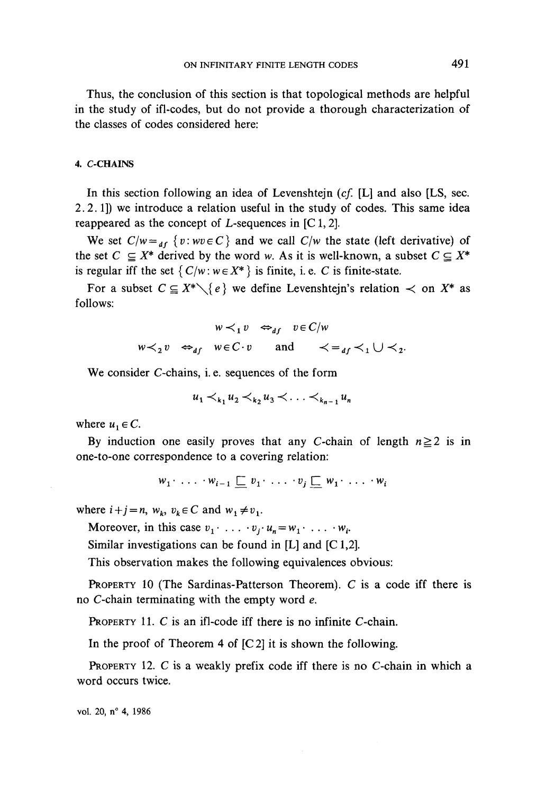Thus, the conclusion of this section is that topological methods are helpful in the study of ifl-codes, but do not provide a thorough characterization of the classes of codes considered hère:

#### 4. C-CHAINS

In this section following an idea of Levenshtejn *(cf.* [L] and also [LS, sec. 2.2.1]) we introducé a relation useful in the study of codes. This same idea reappeared as the concept of  $L$ -sequences in [C 1, 2].

We set  $C/w = a_f$  {*v*:  $wv \in C$ } and we call  $C/w$  the state (left derivative) of the set  $C \subseteq X^*$  derived by the word w. As it is well-known, a subset  $C \subseteq X^*$ is regular iff the set  $\{C/w : w \in X^*\}$  is finite, i. e. C is finite-state.

For a subset  $C \subseteq X^* \setminus \{e\}$  we define Levenshtein's relation  $\prec$  on  $X^*$  as follows:

$$
w \prec_1 v \Leftrightarrow_{df} v \in C/w
$$
  

$$
w \prec_2 v \Leftrightarrow_{df} w \in C \cdot v \quad \text{and} \quad \prec_{f} \prec_1 \cup \prec_2.
$$

We consider C-chains, i.e. sequences of the form

$$
u_1 <_{k_1} u_2 <_{k_2} u_3 < \ldots <_{k_{n-1}} u_n
$$

where  $u_1 \in C$ .

By induction one easily proves that any C-chain of length  $n \ge 2$  is in one-to-one correspondence to a covering relation:

$$
w_1 \cdot \ldots \cdot w_{i-1} \sqsubseteq v_1 \cdot \ldots \cdot v_j \sqsubseteq w_1 \cdot \ldots \cdot w_i
$$

where  $i+j = n$ ,  $w_k$ ,  $v_k \in C$  and  $w_1 \neq v_1$ .

Moreover, in this case  $v_1 \cdot \ldots \cdot v_i \cdot u_n = w_1 \cdot \ldots \cdot w_i$ .

Similar investigations can be found in [L] and [C 1,2].

This observation makes the following equivalences obvious:

PROPERTY 10 (The Sardinas-Patterson Theorem). C is a code iff there is no C-chain terminating with the empty word *e.*

PROPERTY 11. C is an ifl-code iff there is no infinite C-chain.

In the proof of Theorem 4 of  $[C2]$  it is shown the following.

PROPERTY 12. C is a weakly prefix code iff there is no C-chain in which a word occurs twice.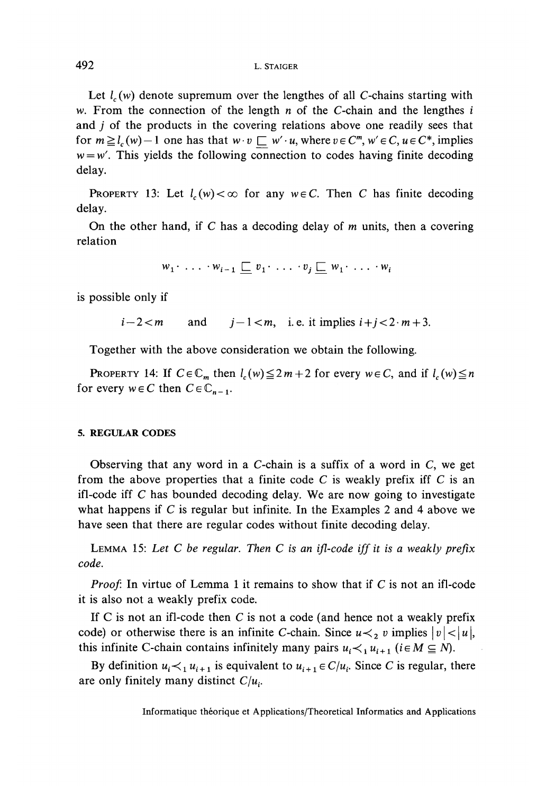Let  $l_c(w)$  denote supremum over the lengthes of all C-chains starting with w. From the connection of the length *n* of the C-chain and the lengthes *i* and *j* of the products in the covering relations above one readily sees that for  $m \ge l_c(w) - 1$  one has that  $w \cdot v \subseteq w' \cdot u$ , where  $v \in C^m$ ,  $w' \in C$ ,  $u \in C^*$ , implies  $w = w'$ . This yields the following connection to codes having finite decoding delay.

PROPERTY 13: Let  $l_c(w) < \infty$  for any  $w \in C$ . Then C has finite decoding delay.

On the other hand, if C has a decoding delay of  $m$  units, then a covering relation

$$
w_1 \cdot \ldots \cdot w_{i-1} \sqsubseteq v_1 \cdot \ldots \cdot v_j \sqsubseteq w_1 \cdot \ldots \cdot w_i
$$

is possible only if

$$
i-2 < m \qquad \text{and} \qquad j-1 < m, \quad \text{i. e. it implies } i+j < 2 \cdot m + 3.
$$

Together with the above considération we obtain the following.

**PROPERTY** 14: If  $C \in \mathbb{C}_m$  then  $l_c(w) \leq 2m+2$  for every  $w \in C$ , and if  $l_c(w) \leq n$ for every  $w \in C$  then  $C \in \mathbb{C}_{n-1}$ .

### **5. REGULAR CODES**

Observing that any word in a C-chain is a suffix of a word in C, we get from the above properties that a finite code C is weakly prefix iff C is an ifl-code iff *C* has bounded decoding delay. We are now going to investigate what happens if C is regular but infinite. In the Examples 2 and 4 above we have seen that there are regular codes without finite decoding delay.

LEMMA 15: *Let C be regular. Then C is an ifl-code iffit is a weakly prefix code.*

*Proof:* In virtue of Lemma 1 it remains to show that if *C* is not an ifl-code it is also not a weakly prefix code.

If C is not an ifl-code then C is not a code (and hence not a weakly prefix code) or otherwise there is an infinite C-chain. Since  $u \lt_{2} v$  implies  $|v| \lt |u|$ , this infinite C-chain contains infinitely many pairs  $u_i \lt_{i} u_{i+1}$  ( $i \in M \subseteq N$ ).

By definition  $u_i \lt_{1} u_{i+1}$  is equivalent to  $u_{i+1} \in C/u_i$ . Since *C* is regular, there are only finitely many distinct  $C/u_i$ .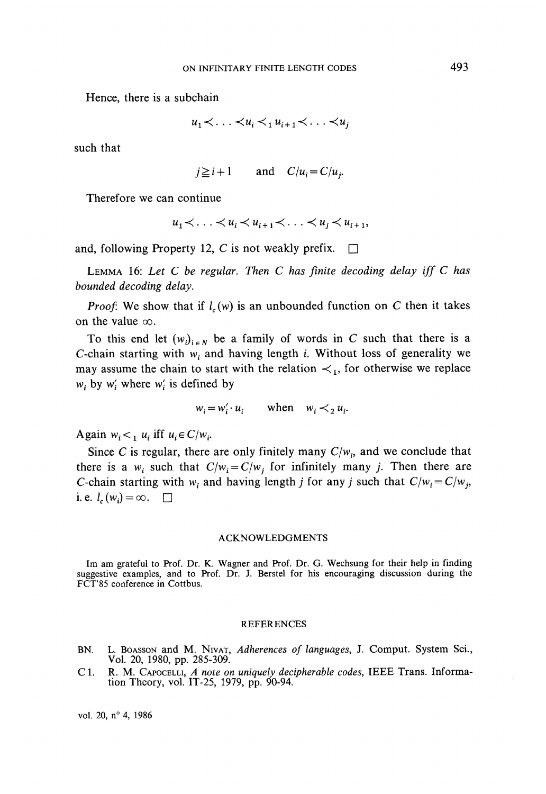Hence, there is a subchain

$$
u_1 \prec \ldots \prec u_i \prec_1 u_{i+1} \prec \ldots \prec u_j
$$

such that

$$
j \ge i+1
$$
 and  $C/u_i = C/u_j$ .

Therefore we can continue

$$
u_1 \lt \ldots \lt u_i \lt u_{i+1} \lt \ldots \lt u_i \lt u_{i+1},
$$

and, following Property 12, C is not weakly prefix.  $\Box$ 

LEMMA 16: *Let C be regular. Then C has finite decoding delay if f C has bounded decoding delay.*

*Proof:* We show that if  $l_c(w)$  is an unbounded function on C then it takes on the value  $\infty$ .

To this end let  $(w_i)_{i \in N}$  be a family of words in C such that there is a C-chain starting with  $w_i$  and having length *i*. Without loss of generality we may assume the chain to start with the relation  $\prec_1$ , for otherwise we replace  $w_i$  by  $w'_i$  where  $w'_i$  is defined by

$$
w_i = w'_i \cdot u_i \qquad \text{when} \quad w_i \prec_2 u_i.
$$

Again  $w_i <_1 u_i$  iff  $u_i \in C/w_i$ 

Since *C* is regular, there are only finitely many  $C/w_i$ , and we conclude that there is a  $w_i$  such that  $C/w_i = C/w_j$  for infinitely many *j*. Then there are C-chain starting with  $w_i$  and having length *j* for any *j* such that  $C/w_i = C/w_j$ , i.e.  $l_c(w_i) = \infty$ .  $\square$ 

#### ACKNOWLEDGMENTS

Im am grateful to Prof. Dr. K. Wagner and Prof. Dr. G. Wechsung for their help in finding suggestive examples, and to Prof. Dr. J. Berstel for his encouraging discussion during the FCT'85 conference in Cottbus.

#### REFERENCES

- BN. L. BOASSON and M. NIVAT, *Adhérences of languages,* J. Comput. System Sci., Vol. 20, 1980, pp. 285-309.
- C1. R. M. CAPOCELLI, *A note on uniquely decipherable codes,* IEEE Trans. Information Theory, vol. IT-25, 1979, pp. 90-94.